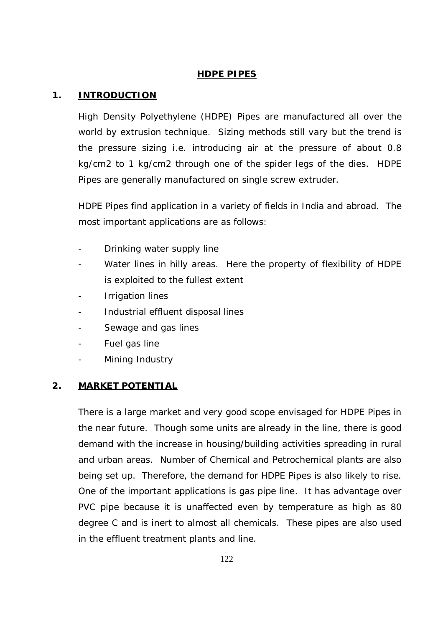# **HDPE PIPES**

### **1. INTRODUCTION**

High Density Polyethylene (HDPE) Pipes are manufactured all over the world by extrusion technique. Sizing methods still vary but the trend is the pressure sizing i.e. introducing air at the pressure of about 0.8 kg/cm2 to 1 kg/cm2 through one of the spider legs of the dies. HDPE Pipes are generally manufactured on single screw extruder.

HDPE Pipes find application in a variety of fields in India and abroad. The most important applications are as follows:

- Drinking water supply line
- Water lines in hilly areas. Here the property of flexibility of HDPE is exploited to the fullest extent
- Irrigation lines
- Industrial effluent disposal lines
- Sewage and gas lines
- Fuel gas line
- Mining Industry

#### **2. MARKET POTENTIAL**

There is a large market and very good scope envisaged for HDPE Pipes in the near future. Though some units are already in the line, there is good demand with the increase in housing/building activities spreading in rural and urban areas. Number of Chemical and Petrochemical plants are also being set up. Therefore, the demand for HDPE Pipes is also likely to rise. One of the important applications is gas pipe line. It has advantage over PVC pipe because it is unaffected even by temperature as high as 80 degree C and is inert to almost all chemicals. These pipes are also used in the effluent treatment plants and line.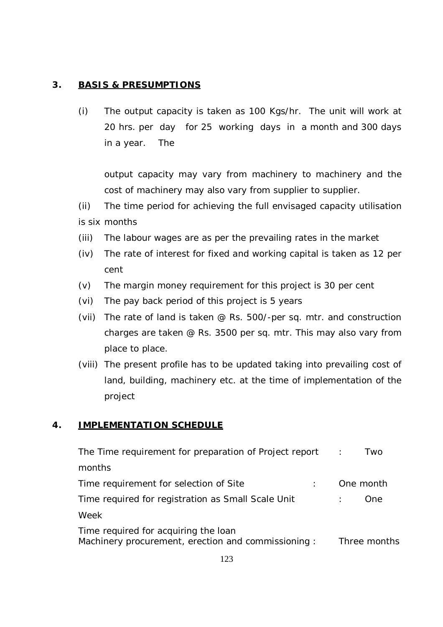# **3. BASIS & PRESUMPTIONS**

(i) The output capacity is taken as 100 Kgs/hr. The unit will work at 20 hrs. per day for 25 working days in a month and 300 days in a year. The

output capacity may vary from machinery to machinery and the cost of machinery may also vary from supplier to supplier.

(ii) The time period for achieving the full envisaged capacity utilisation is six months

- (iii) The labour wages are as per the prevailing rates in the market
- (iv) The rate of interest for fixed and working capital is taken as 12 per cent
- (v) The margin money requirement for this project is 30 per cent
- (vi) The pay back period of this project is 5 years
- (vii) The rate of land is taken @ Rs. 500/-per sq. mtr. and construction charges are taken @ Rs. 3500 per sq. mtr. This may also vary from place to place.
- (viii) The present profile has to be updated taking into prevailing cost of land, building, machinery etc. at the time of implementation of the project

# **4. IMPLEMENTATION SCHEDULE**

| The Time requirement for preparation of Project report                                     | $\ddot{\phantom{a}}$ | Two          |
|--------------------------------------------------------------------------------------------|----------------------|--------------|
| months                                                                                     |                      |              |
| Time requirement for selection of Site                                                     | One month            |              |
| Time required for registration as Small Scale Unit                                         |                      | One          |
| Week                                                                                       |                      |              |
| Time required for acquiring the loan<br>Machinery procurement, erection and commissioning: |                      | Three months |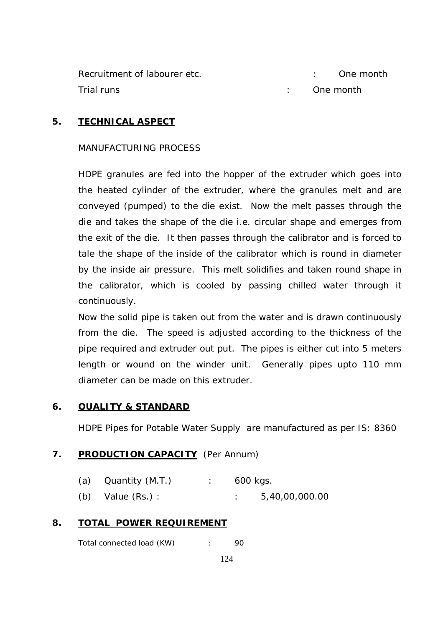| Recruitment of labourer etc. |  | : One month |
|------------------------------|--|-------------|
| Trial runs                   |  | : One month |

## **5. TECHNICAL ASPECT**

#### MANUFACTURING PROCESS

HDPE granules are fed into the hopper of the extruder which goes into the heated cylinder of the extruder, where the granules melt and are conveyed (pumped) to the die exist. Now the melt passes through the die and takes the shape of the die i.e. circular shape and emerges from the exit of the die. It then passes through the calibrator and is forced to tale the shape of the inside of the calibrator which is round in diameter by the inside air pressure. This melt solidifies and taken round shape in the calibrator, which is cooled by passing chilled water through it continuously.

Now the solid pipe is taken out from the water and is drawn continuously from the die. The speed is adjusted according to the thickness of the pipe required and extruder out put. The pipes is either cut into 5 meters length or wound on the winder unit. Generally pipes upto 110 mm diameter can be made on this extruder.

#### **6. QUALITY & STANDARD**

HDPE Pipes for Potable Water Supply are manufactured as per IS: 8360

#### 7. **PRODUCTION CAPACITY** (Per Annum)

| (a)<br>Quantity (M.T.) | 600 kgs. |  |
|------------------------|----------|--|

(b) Value (Rs.) : : 5,40,00,000.00

#### **8. TOTAL POWER REQUIREMENT**

Total connected load (KW) : 90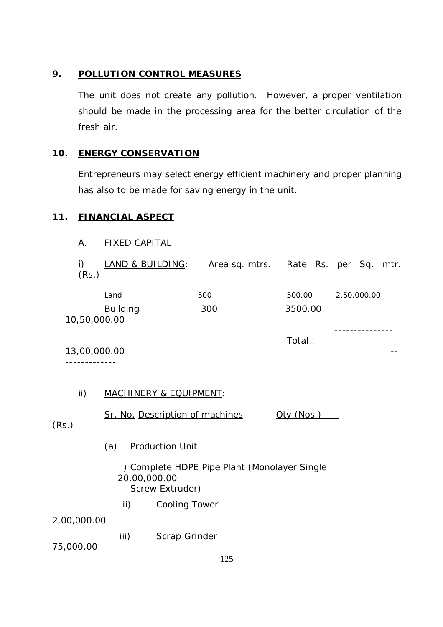## **9. POLLUTION CONTROL MEASURES**

The unit does not create any pollution. However, a proper ventilation should be made in the processing area for the better circulation of the fresh air.

### **10. ENERGY CONSERVATION**

Entrepreneurs may select energy efficient machinery and proper planning has also to be made for saving energy in the unit.

Sq. mtr.

#### **11. FINANCIAL ASPECT**

| Α.          | <b>FIXED CAPITAL</b>            |                                    |         |             |
|-------------|---------------------------------|------------------------------------|---------|-------------|
| i)<br>(Rs.) | LAND & BUILDING:                | Area sq. mtrs. Rate Rs. per Sq. mt |         |             |
|             | Land                            | 500                                | 500.00  | 2,50,000.00 |
|             | <b>Building</b><br>10,50,000.00 | 300                                | 3500.00 |             |
|             |                                 |                                    | Total:  |             |

13,00,000.00 -- -------------

## ii) MACHINERY & EQUIPMENT:

Sr. No. Description of machines  $Qty.(Nos.)$ 

(Rs.)

- (a) Production Unit
	- i) Complete HDPE Pipe Plant (Monolayer Single 20,00,000.00 Screw Extruder)
		- ii) Cooling Tower

2,00,000.00

iii) Scrap Grinder

75,000.00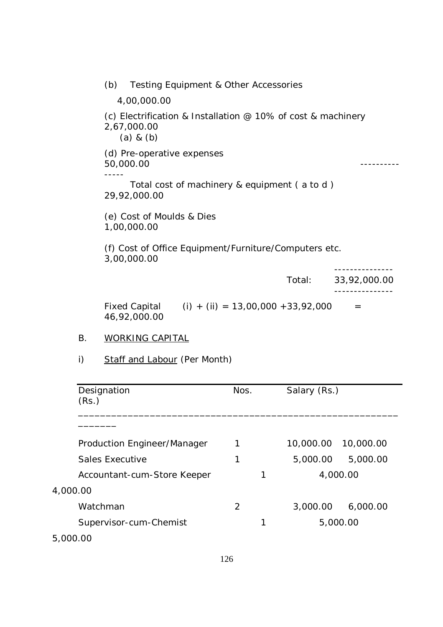(b) Testing Equipment & Other Accessories 4,00,000.00 (c) Electrification & Installation @ 10% of cost & machinery 2,67,000.00 (a) & (b) (d) Pre-operative expenses 50,000.00 ---------- ----- Total cost of machinery & equipment ( a to d ) 29,92,000.00 (e) Cost of Moulds & Dies 1,00,000.00 (f) Cost of Office Equipment/Furniture/Computers etc. 3,00,000.00 --------------- Total: 33,92,000.00 --------------- Fixed Capital  $(i) + (ii) = 13,00,000 + 33,92,000 =$ 46,92,000.00

#### B. WORKING CAPITAL

i) Staff and Labour (Per Month)

| Designation<br>(Rs.)        | Nos. | Salary (Rs.) |           |
|-----------------------------|------|--------------|-----------|
|                             |      |              |           |
| Production Engineer/Manager | 1    | 10,000.00    | 10,000.00 |
| Sales Executive             | 1    | 5,000.00     | 5,000.00  |
| Accountant-cum-Store Keeper |      |              | 4,000.00  |
| 4,000.00                    |      |              |           |
| Watchman                    | 2    | 3,000.00     | 6,000.00  |
| Supervisor-cum-Chemist      |      |              | 5,000.00  |
| 5,000.00                    |      |              |           |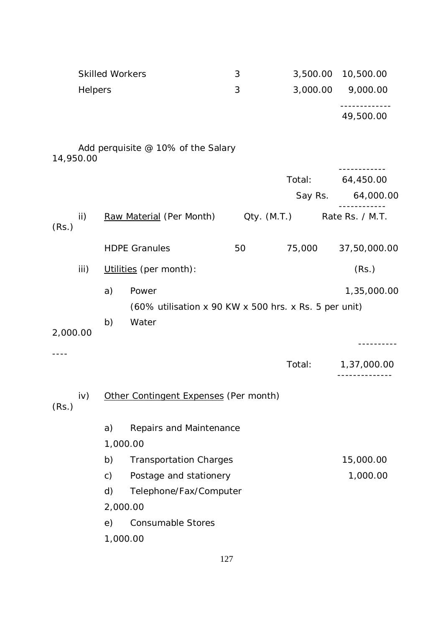|           |         | <b>Skilled Workers</b> |                                                                | 3               | 3,500.00 | 10,500.00         |
|-----------|---------|------------------------|----------------------------------------------------------------|-----------------|----------|-------------------|
|           | Helpers |                        |                                                                | 3               | 3,000.00 | 9,000.00          |
|           |         |                        |                                                                |                 |          | 49,500.00         |
| 14,950.00 |         |                        | Add perquisite @ 10% of the Salary                             |                 |          |                   |
|           |         |                        |                                                                |                 | Total:   | 64,450.00         |
|           |         |                        |                                                                |                 |          | Say Rs. 64,000.00 |
| (Rs.)     | ii)     |                        | Raw Material (Per Month)                                       | $Qty.$ $(M.T.)$ |          | Rate Rs. / M.T.   |
|           |         |                        | <b>HDPE Granules</b>                                           | 50              | 75,000   | 37,50,000.00      |
|           | iii)    |                        | Utilities (per month):                                         |                 |          | (Rs.)             |
|           |         | a)                     | Power<br>(60% utilisation x 90 KW x 500 hrs. x Rs. 5 per unit) |                 |          | 1,35,000.00       |
| 2,000.00  |         | b)                     | Water                                                          |                 |          |                   |
|           |         |                        |                                                                |                 |          | --------          |
|           |         |                        |                                                                |                 | Total:   | 1,37,000.00       |
| (Rs.)     | iv)     |                        | Other Contingent Expenses (Per month)                          |                 |          |                   |
|           |         | a)                     | Repairs and Maintenance                                        |                 |          |                   |
|           |         | 1,000.00<br>b)         | <b>Transportation Charges</b>                                  |                 |          | 15,000.00         |
|           |         | $\mathsf{c})$          | Postage and stationery                                         |                 |          | 1,000.00          |
|           |         | d)                     | Telephone/Fax/Computer                                         |                 |          |                   |
|           |         | 2,000.00               |                                                                |                 |          |                   |
|           |         | e)                     | <b>Consumable Stores</b>                                       |                 |          |                   |
|           |         | 1,000.00               |                                                                |                 |          |                   |
|           |         |                        |                                                                |                 |          |                   |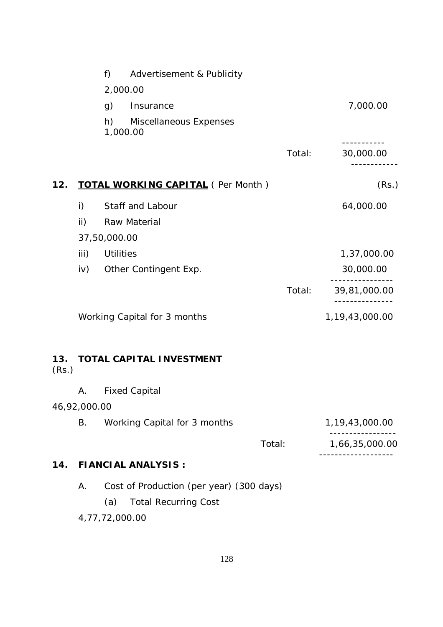|              |              | f)               | Advertisement & Publicity                |        |                    |
|--------------|--------------|------------------|------------------------------------------|--------|--------------------|
|              |              |                  | 2,000.00                                 |        |                    |
|              |              | g)               | Insurance                                |        | 7,000.00           |
|              |              | h)               | Miscellaneous Expenses<br>1,000.00       |        |                    |
|              |              |                  |                                          | Total: | 30,000.00          |
| 12.          |              |                  | <b>TOTAL WORKING CAPITAL (Per Month)</b> |        | (Rs.)              |
|              | i)           |                  | Staff and Labour                         |        | 64,000.00          |
|              | ii)          |                  | Raw Material                             |        |                    |
|              |              | 37,50,000.00     |                                          |        |                    |
|              | iii)         | <b>Utilities</b> |                                          |        | 1,37,000.00        |
|              | iv)          |                  | Other Contingent Exp.                    |        | 30,000.00          |
|              |              |                  |                                          | Total: | 39,81,000.00       |
|              |              |                  | Working Capital for 3 months             |        | 1,19,43,000.00     |
| 13.<br>(Rs.) |              |                  | <b>TOTAL CAPITAL INVESTMENT</b>          |        |                    |
|              | Α.           |                  | <b>Fixed Capital</b>                     |        |                    |
|              | 46,92,000.00 |                  |                                          |        |                    |
|              | В.           |                  | Working Capital for 3 months             |        | 1, 19, 43, 000. 00 |
|              |              |                  |                                          | Total: | 1,66,35,000.00     |
| 14.          |              |                  | <b>FIANCIAL ANALYSIS:</b>                |        |                    |

- A. Cost of Production (per year) (300 days)
	- (a) Total Recurring Cost
- 4,77,72,000.00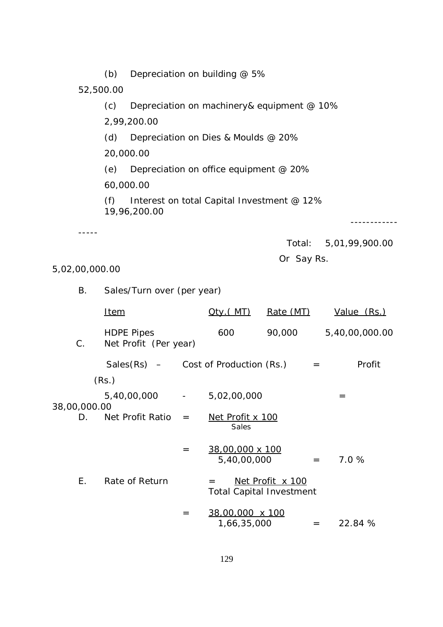(b) Depreciation on building  $@$  5% 52,500.00 (c) Depreciation on machinery& equipment @ 10% 2,99,200.00 (d) Depreciation on Dies & Moulds @ 20% 20,000.00 (e) Depreciation on office equipment @ 20% 60,000.00 (f) Interest on total Capital Investment  $@12\%$ 19,96,200.00 ------------ ----- Total: 5,01,99,900.00 Or Say Rs. 5,02,00,000.00 B. Sales/Turn over (per year) Item  $Qty.(MT)$  Rate (MT) Value (Rs.) HDPE Pipes 600 90,000 5,40,00,000.00 C. Net Profit (Per year) Sales(Rs)  $-$  Cost of Production (Rs.)  $=$  Profit (Rs.)  $5,40,00,000$  -  $5,02,00,000$  = 38,00,000.00

D. Net Profit Ratio = Net Profit x  $100$ **Sales Sales Sales** 

$$
= \frac{38,00,000 \times 100}{5,40,00,000} = 7.0 %
$$

E. Rate of Return

\n
$$
= \frac{\text{Net Profit} \times 100}{\text{Total Capital Investment}}
$$
\n
$$
= \frac{38,00,000 \times 100}{\text{Total Capital Investment}}
$$

$$
\frac{38,00,000 \times 100}{1,66,35,000} = 22.84 %
$$